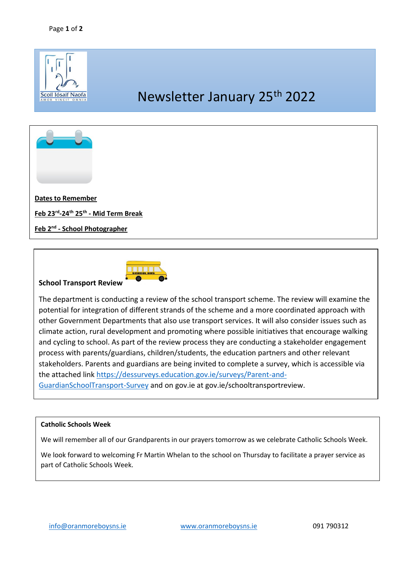



## **School Transport Review**

The department is conducting a review of the school transport scheme. The review will examine the potential for integration of different strands of the scheme and a more coordinated approach with other Government Departments that also use transport services. It will also consider issues such as climate action, rural development and promoting where possible initiatives that encourage walking and cycling to school. As part of the review process they are conducting a stakeholder engagement process with parents/guardians, children/students, the education partners and other relevant stakeholders. Parents and guardians are being invited to complete a survey, which is accessible via the attached link [https://dessurveys.education.gov.ie/surveys/Parent-and-](https://dessurveys.education.gov.ie/surveys/Parent-and-GuardianSchoolTransport-Survey)[GuardianSchoolTransport-Survey](https://dessurveys.education.gov.ie/surveys/Parent-and-GuardianSchoolTransport-Survey) and on gov.ie at gov.ie/schooltransportreview.

## **Catholic Schools Week**

We will remember all of our Grandparents in our prayers tomorrow as we celebrate Catholic Schools Week.

We look forward to welcoming Fr Martin Whelan to the school on Thursday to facilitate a prayer service as part of Catholic Schools Week.